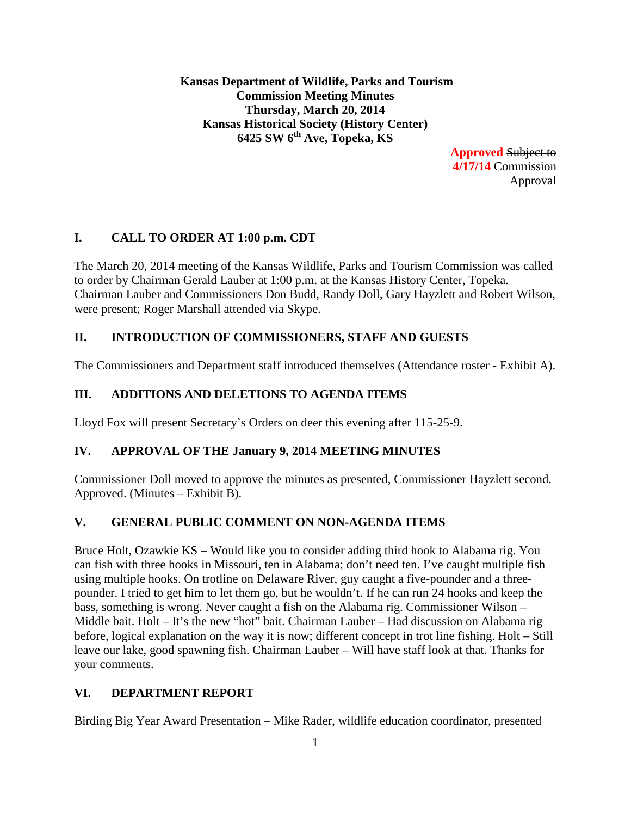**Kansas Department of Wildlife, Parks and Tourism Commission Meeting Minutes Thursday, March 20, 2014 Kansas Historical Society (History Center) 6425 SW 6th Ave, Topeka, KS**

> **Approved** Subject to **4/17/14** Commission Approval

# **I. CALL TO ORDER AT 1:00 p.m. CDT**

The March 20, 2014 meeting of the Kansas Wildlife, Parks and Tourism Commission was called to order by Chairman Gerald Lauber at 1:00 p.m. at the Kansas History Center, Topeka. Chairman Lauber and Commissioners Don Budd, Randy Doll, Gary Hayzlett and Robert Wilson, were present; Roger Marshall attended via Skype.

## **II. INTRODUCTION OF COMMISSIONERS, STAFF AND GUESTS**

The Commissioners and Department staff introduced themselves (Attendance roster - Exhibit A).

## **III. ADDITIONS AND DELETIONS TO AGENDA ITEMS**

Lloyd Fox will present Secretary's Orders on deer this evening after 115-25-9.

## **IV. APPROVAL OF THE January 9, 2014 MEETING MINUTES**

Commissioner Doll moved to approve the minutes as presented, Commissioner Hayzlett second. Approved. (Minutes – Exhibit B).

## **V. GENERAL PUBLIC COMMENT ON NON-AGENDA ITEMS**

Bruce Holt, Ozawkie KS – Would like you to consider adding third hook to Alabama rig. You can fish with three hooks in Missouri, ten in Alabama; don't need ten. I've caught multiple fish using multiple hooks. On trotline on Delaware River, guy caught a five-pounder and a threepounder. I tried to get him to let them go, but he wouldn't. If he can run 24 hooks and keep the bass, something is wrong. Never caught a fish on the Alabama rig. Commissioner Wilson – Middle bait. Holt – It's the new "hot" bait. Chairman Lauber – Had discussion on Alabama rig before, logical explanation on the way it is now; different concept in trot line fishing. Holt – Still leave our lake, good spawning fish. Chairman Lauber – Will have staff look at that. Thanks for your comments.

## **VI. DEPARTMENT REPORT**

Birding Big Year Award Presentation – Mike Rader, wildlife education coordinator, presented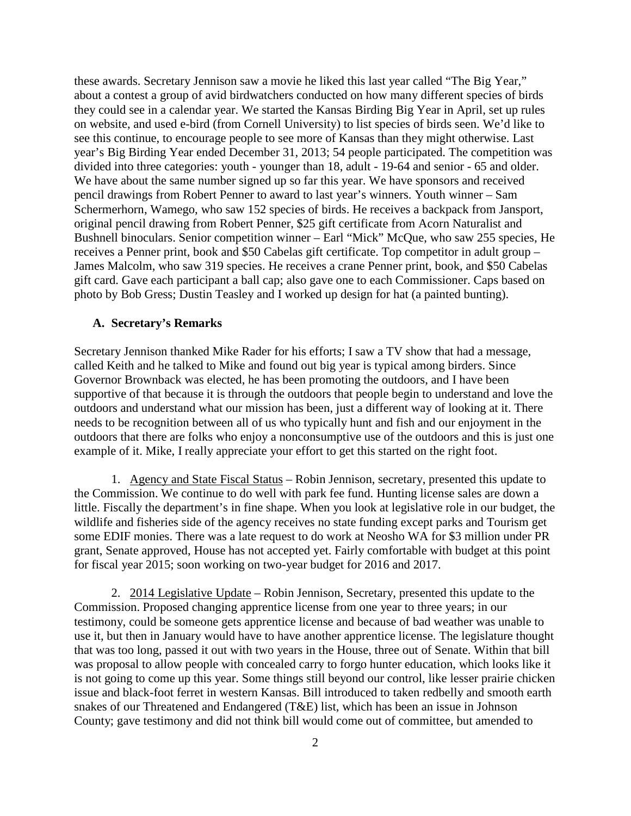these awards. Secretary Jennison saw a movie he liked this last year called "The Big Year," about a contest a group of avid birdwatchers conducted on how many different species of birds they could see in a calendar year. We started the Kansas Birding Big Year in April, set up rules on website, and used e-bird (from Cornell University) to list species of birds seen. We'd like to see this continue, to encourage people to see more of Kansas than they might otherwise. Last year's Big Birding Year ended December 31, 2013; 54 people participated. The competition was divided into three categories: youth - younger than 18, adult - 19-64 and senior - 65 and older. We have about the same number signed up so far this year. We have sponsors and received pencil drawings from Robert Penner to award to last year's winners. Youth winner – Sam Schermerhorn, Wamego, who saw 152 species of birds. He receives a backpack from Jansport, original pencil drawing from Robert Penner, \$25 gift certificate from Acorn Naturalist and Bushnell binoculars. Senior competition winner – Earl "Mick" McQue, who saw 255 species, He receives a Penner print, book and \$50 Cabelas gift certificate. Top competitor in adult group – James Malcolm, who saw 319 species. He receives a crane Penner print, book, and \$50 Cabelas gift card. Gave each participant a ball cap; also gave one to each Commissioner. Caps based on photo by Bob Gress; Dustin Teasley and I worked up design for hat (a painted bunting).

#### **A. Secretary's Remarks**

Secretary Jennison thanked Mike Rader for his efforts; I saw a TV show that had a message, called Keith and he talked to Mike and found out big year is typical among birders. Since Governor Brownback was elected, he has been promoting the outdoors, and I have been supportive of that because it is through the outdoors that people begin to understand and love the outdoors and understand what our mission has been, just a different way of looking at it. There needs to be recognition between all of us who typically hunt and fish and our enjoyment in the outdoors that there are folks who enjoy a nonconsumptive use of the outdoors and this is just one example of it. Mike, I really appreciate your effort to get this started on the right foot.

1. Agency and State Fiscal Status – Robin Jennison, secretary, presented this update to the Commission. We continue to do well with park fee fund. Hunting license sales are down a little. Fiscally the department's in fine shape. When you look at legislative role in our budget, the wildlife and fisheries side of the agency receives no state funding except parks and Tourism get some EDIF monies. There was a late request to do work at Neosho WA for \$3 million under PR grant, Senate approved, House has not accepted yet. Fairly comfortable with budget at this point for fiscal year 2015; soon working on two-year budget for 2016 and 2017.

2. 2014 Legislative Update – Robin Jennison, Secretary, presented this update to the Commission. Proposed changing apprentice license from one year to three years; in our testimony, could be someone gets apprentice license and because of bad weather was unable to use it, but then in January would have to have another apprentice license. The legislature thought that was too long, passed it out with two years in the House, three out of Senate. Within that bill was proposal to allow people with concealed carry to forgo hunter education, which looks like it is not going to come up this year. Some things still beyond our control, like lesser prairie chicken issue and black-foot ferret in western Kansas. Bill introduced to taken redbelly and smooth earth snakes of our Threatened and Endangered (T&E) list, which has been an issue in Johnson County; gave testimony and did not think bill would come out of committee, but amended to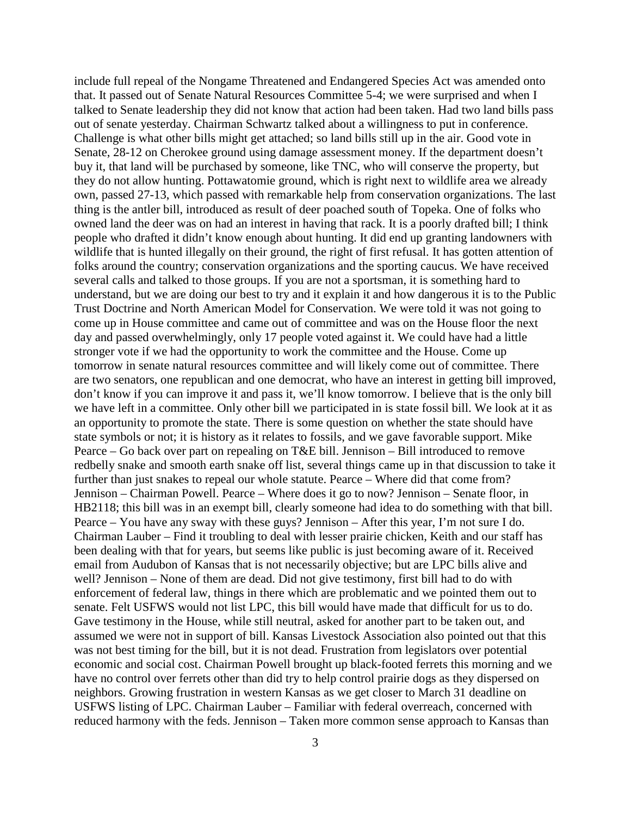include full repeal of the Nongame Threatened and Endangered Species Act was amended onto that. It passed out of Senate Natural Resources Committee 5-4; we were surprised and when I talked to Senate leadership they did not know that action had been taken. Had two land bills pass out of senate yesterday. Chairman Schwartz talked about a willingness to put in conference. Challenge is what other bills might get attached; so land bills still up in the air. Good vote in Senate, 28-12 on Cherokee ground using damage assessment money. If the department doesn't buy it, that land will be purchased by someone, like TNC, who will conserve the property, but they do not allow hunting. Pottawatomie ground, which is right next to wildlife area we already own, passed 27-13, which passed with remarkable help from conservation organizations. The last thing is the antler bill, introduced as result of deer poached south of Topeka. One of folks who owned land the deer was on had an interest in having that rack. It is a poorly drafted bill; I think people who drafted it didn't know enough about hunting. It did end up granting landowners with wildlife that is hunted illegally on their ground, the right of first refusal. It has gotten attention of folks around the country; conservation organizations and the sporting caucus. We have received several calls and talked to those groups. If you are not a sportsman, it is something hard to understand, but we are doing our best to try and it explain it and how dangerous it is to the Public Trust Doctrine and North American Model for Conservation. We were told it was not going to come up in House committee and came out of committee and was on the House floor the next day and passed overwhelmingly, only 17 people voted against it. We could have had a little stronger vote if we had the opportunity to work the committee and the House. Come up tomorrow in senate natural resources committee and will likely come out of committee. There are two senators, one republican and one democrat, who have an interest in getting bill improved, don't know if you can improve it and pass it, we'll know tomorrow. I believe that is the only bill we have left in a committee. Only other bill we participated in is state fossil bill. We look at it as an opportunity to promote the state. There is some question on whether the state should have state symbols or not; it is history as it relates to fossils, and we gave favorable support. Mike Pearce – Go back over part on repealing on T&E bill. Jennison – Bill introduced to remove redbelly snake and smooth earth snake off list, several things came up in that discussion to take it further than just snakes to repeal our whole statute. Pearce – Where did that come from? Jennison – Chairman Powell. Pearce – Where does it go to now? Jennison – Senate floor, in HB2118; this bill was in an exempt bill, clearly someone had idea to do something with that bill. Pearce – You have any sway with these guys? Jennison – After this year, I'm not sure I do. Chairman Lauber – Find it troubling to deal with lesser prairie chicken, Keith and our staff has been dealing with that for years, but seems like public is just becoming aware of it. Received email from Audubon of Kansas that is not necessarily objective; but are LPC bills alive and well? Jennison – None of them are dead. Did not give testimony, first bill had to do with enforcement of federal law, things in there which are problematic and we pointed them out to senate. Felt USFWS would not list LPC, this bill would have made that difficult for us to do. Gave testimony in the House, while still neutral, asked for another part to be taken out, and assumed we were not in support of bill. Kansas Livestock Association also pointed out that this was not best timing for the bill, but it is not dead. Frustration from legislators over potential economic and social cost. Chairman Powell brought up black-footed ferrets this morning and we have no control over ferrets other than did try to help control prairie dogs as they dispersed on neighbors. Growing frustration in western Kansas as we get closer to March 31 deadline on USFWS listing of LPC. Chairman Lauber – Familiar with federal overreach, concerned with reduced harmony with the feds. Jennison – Taken more common sense approach to Kansas than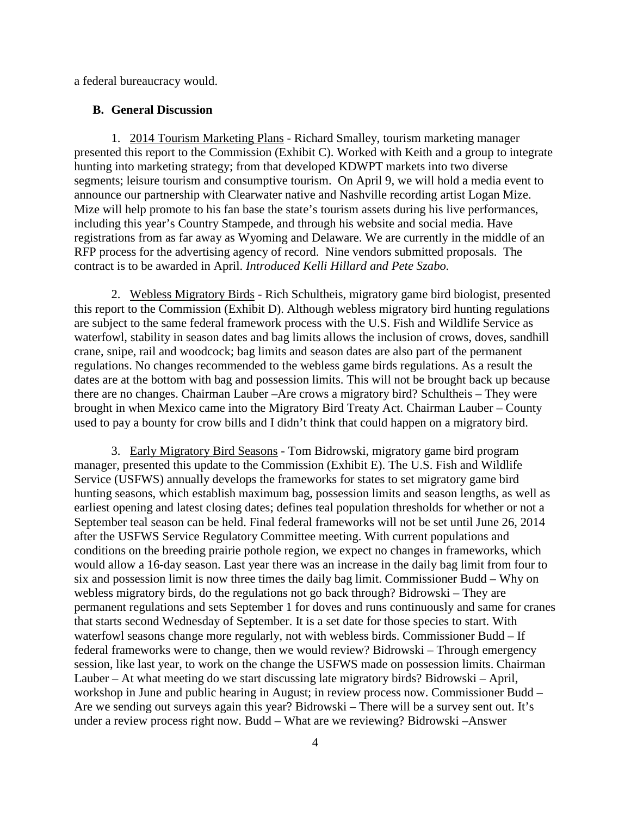a federal bureaucracy would.

#### **B. General Discussion**

1. 2014 Tourism Marketing Plans - Richard Smalley, tourism marketing manager presented this report to the Commission (Exhibit C). Worked with Keith and a group to integrate hunting into marketing strategy; from that developed KDWPT markets into two diverse segments; leisure tourism and consumptive tourism. On April 9, we will hold a media event to announce our partnership with Clearwater native and Nashville recording artist Logan Mize. Mize will help promote to his fan base the state's tourism assets during his live performances, including this year's Country Stampede, and through his website and social media. Have registrations from as far away as Wyoming and Delaware. We are currently in the middle of an RFP process for the advertising agency of record. Nine vendors submitted proposals. The contract is to be awarded in April. *Introduced Kelli Hillard and Pete Szabo.*

2. Webless Migratory Birds - Rich Schultheis, migratory game bird biologist, presented this report to the Commission (Exhibit D). Although webless migratory bird hunting regulations are subject to the same federal framework process with the U.S. Fish and Wildlife Service as waterfowl, stability in season dates and bag limits allows the inclusion of crows, doves, sandhill crane, snipe, rail and woodcock; bag limits and season dates are also part of the permanent regulations. No changes recommended to the webless game birds regulations. As a result the dates are at the bottom with bag and possession limits. This will not be brought back up because there are no changes. Chairman Lauber –Are crows a migratory bird? Schultheis – They were brought in when Mexico came into the Migratory Bird Treaty Act. Chairman Lauber – County used to pay a bounty for crow bills and I didn't think that could happen on a migratory bird.

3. Early Migratory Bird Seasons - Tom Bidrowski, migratory game bird program manager, presented this update to the Commission (Exhibit E). The U.S. Fish and Wildlife Service (USFWS) annually develops the frameworks for states to set migratory game bird hunting seasons, which establish maximum bag, possession limits and season lengths, as well as earliest opening and latest closing dates; defines teal population thresholds for whether or not a September teal season can be held. Final federal frameworks will not be set until June 26, 2014 after the USFWS Service Regulatory Committee meeting. With current populations and conditions on the breeding prairie pothole region, we expect no changes in frameworks, which would allow a 16-day season. Last year there was an increase in the daily bag limit from four to six and possession limit is now three times the daily bag limit. Commissioner Budd – Why on webless migratory birds, do the regulations not go back through? Bidrowski – They are permanent regulations and sets September 1 for doves and runs continuously and same for cranes that starts second Wednesday of September. It is a set date for those species to start. With waterfowl seasons change more regularly, not with webless birds. Commissioner Budd – If federal frameworks were to change, then we would review? Bidrowski – Through emergency session, like last year, to work on the change the USFWS made on possession limits. Chairman Lauber – At what meeting do we start discussing late migratory birds? Bidrowski – April, workshop in June and public hearing in August; in review process now. Commissioner Budd – Are we sending out surveys again this year? Bidrowski – There will be a survey sent out. It's under a review process right now. Budd – What are we reviewing? Bidrowski –Answer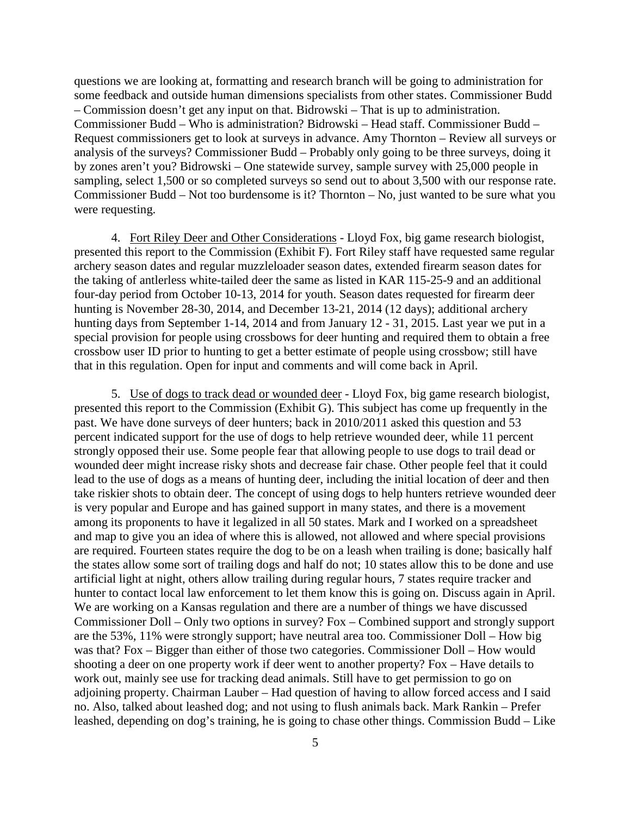questions we are looking at, formatting and research branch will be going to administration for some feedback and outside human dimensions specialists from other states. Commissioner Budd – Commission doesn't get any input on that. Bidrowski – That is up to administration. Commissioner Budd – Who is administration? Bidrowski – Head staff. Commissioner Budd – Request commissioners get to look at surveys in advance. Amy Thornton – Review all surveys or analysis of the surveys? Commissioner Budd – Probably only going to be three surveys, doing it by zones aren't you? Bidrowski – One statewide survey, sample survey with 25,000 people in sampling, select 1,500 or so completed surveys so send out to about 3,500 with our response rate. Commissioner Budd – Not too burdensome is it? Thornton – No, just wanted to be sure what you were requesting.

4. Fort Riley Deer and Other Considerations - Lloyd Fox, big game research biologist, presented this report to the Commission (Exhibit F). Fort Riley staff have requested same regular archery season dates and regular muzzleloader season dates, extended firearm season dates for the taking of antlerless white-tailed deer the same as listed in KAR 115-25-9 and an additional four-day period from October 10-13, 2014 for youth. Season dates requested for firearm deer hunting is November 28-30, 2014, and December 13-21, 2014 (12 days); additional archery hunting days from September 1-14, 2014 and from January 12 - 31, 2015. Last year we put in a special provision for people using crossbows for deer hunting and required them to obtain a free crossbow user ID prior to hunting to get a better estimate of people using crossbow; still have that in this regulation. Open for input and comments and will come back in April.

5. Use of dogs to track dead or wounded deer - Lloyd Fox, big game research biologist, presented this report to the Commission (Exhibit G). This subject has come up frequently in the past. We have done surveys of deer hunters; back in 2010/2011 asked this question and 53 percent indicated support for the use of dogs to help retrieve wounded deer, while 11 percent strongly opposed their use. Some people fear that allowing people to use dogs to trail dead or wounded deer might increase risky shots and decrease fair chase. Other people feel that it could lead to the use of dogs as a means of hunting deer, including the initial location of deer and then take riskier shots to obtain deer. The concept of using dogs to help hunters retrieve wounded deer is very popular and Europe and has gained support in many states, and there is a movement among its proponents to have it legalized in all 50 states. Mark and I worked on a spreadsheet and map to give you an idea of where this is allowed, not allowed and where special provisions are required. Fourteen states require the dog to be on a leash when trailing is done; basically half the states allow some sort of trailing dogs and half do not; 10 states allow this to be done and use artificial light at night, others allow trailing during regular hours, 7 states require tracker and hunter to contact local law enforcement to let them know this is going on. Discuss again in April. We are working on a Kansas regulation and there are a number of things we have discussed Commissioner Doll – Only two options in survey? Fox – Combined support and strongly support are the 53%, 11% were strongly support; have neutral area too. Commissioner Doll – How big was that? Fox – Bigger than either of those two categories. Commissioner Doll – How would shooting a deer on one property work if deer went to another property? Fox – Have details to work out, mainly see use for tracking dead animals. Still have to get permission to go on adjoining property. Chairman Lauber – Had question of having to allow forced access and I said no. Also, talked about leashed dog; and not using to flush animals back. Mark Rankin – Prefer leashed, depending on dog's training, he is going to chase other things. Commission Budd – Like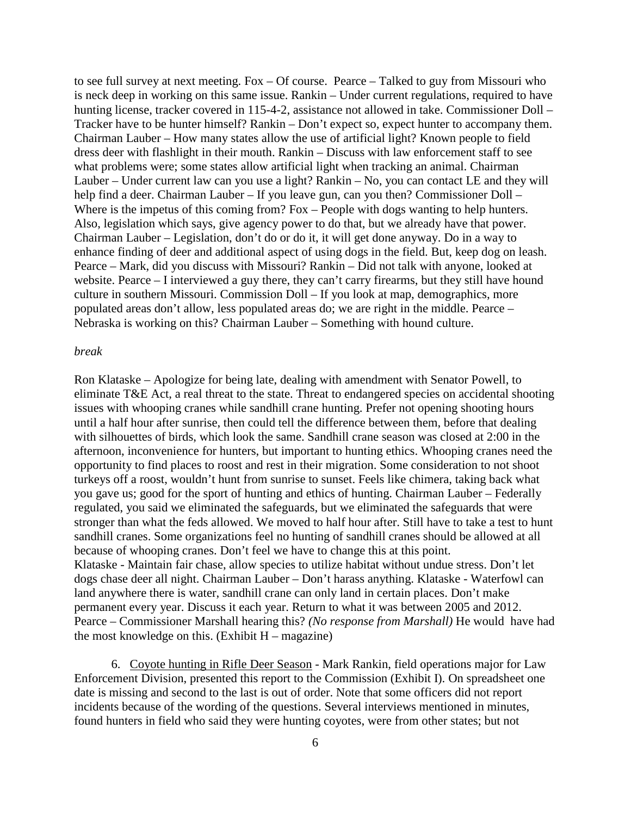to see full survey at next meeting. Fox – Of course. Pearce – Talked to guy from Missouri who is neck deep in working on this same issue. Rankin – Under current regulations, required to have hunting license, tracker covered in 115-4-2, assistance not allowed in take. Commissioner Doll – Tracker have to be hunter himself? Rankin – Don't expect so, expect hunter to accompany them. Chairman Lauber – How many states allow the use of artificial light? Known people to field dress deer with flashlight in their mouth. Rankin – Discuss with law enforcement staff to see what problems were; some states allow artificial light when tracking an animal. Chairman Lauber – Under current law can you use a light? Rankin – No, you can contact LE and they will help find a deer. Chairman Lauber – If you leave gun, can you then? Commissioner Doll – Where is the impetus of this coming from? Fox – People with dogs wanting to help hunters. Also, legislation which says, give agency power to do that, but we already have that power. Chairman Lauber – Legislation, don't do or do it, it will get done anyway. Do in a way to enhance finding of deer and additional aspect of using dogs in the field. But, keep dog on leash. Pearce – Mark, did you discuss with Missouri? Rankin – Did not talk with anyone, looked at website. Pearce – I interviewed a guy there, they can't carry firearms, but they still have hound culture in southern Missouri. Commission Doll – If you look at map, demographics, more populated areas don't allow, less populated areas do; we are right in the middle. Pearce – Nebraska is working on this? Chairman Lauber – Something with hound culture.

#### *break*

Ron Klataske – Apologize for being late, dealing with amendment with Senator Powell, to eliminate T&E Act, a real threat to the state. Threat to endangered species on accidental shooting issues with whooping cranes while sandhill crane hunting. Prefer not opening shooting hours until a half hour after sunrise, then could tell the difference between them, before that dealing with silhouettes of birds, which look the same. Sandhill crane season was closed at 2:00 in the afternoon, inconvenience for hunters, but important to hunting ethics. Whooping cranes need the opportunity to find places to roost and rest in their migration. Some consideration to not shoot turkeys off a roost, wouldn't hunt from sunrise to sunset. Feels like chimera, taking back what you gave us; good for the sport of hunting and ethics of hunting. Chairman Lauber – Federally regulated, you said we eliminated the safeguards, but we eliminated the safeguards that were stronger than what the feds allowed. We moved to half hour after. Still have to take a test to hunt sandhill cranes. Some organizations feel no hunting of sandhill cranes should be allowed at all because of whooping cranes. Don't feel we have to change this at this point. Klataske - Maintain fair chase, allow species to utilize habitat without undue stress. Don't let dogs chase deer all night. Chairman Lauber – Don't harass anything. Klataske - Waterfowl can land anywhere there is water, sandhill crane can only land in certain places. Don't make permanent every year. Discuss it each year. Return to what it was between 2005 and 2012. Pearce – Commissioner Marshall hearing this? *(No response from Marshall)* He would have had the most knowledge on this.  $(Exhibit H - magazine)$ 

6. Coyote hunting in Rifle Deer Season - Mark Rankin, field operations major for Law Enforcement Division, presented this report to the Commission (Exhibit I). On spreadsheet one date is missing and second to the last is out of order. Note that some officers did not report incidents because of the wording of the questions. Several interviews mentioned in minutes, found hunters in field who said they were hunting coyotes, were from other states; but not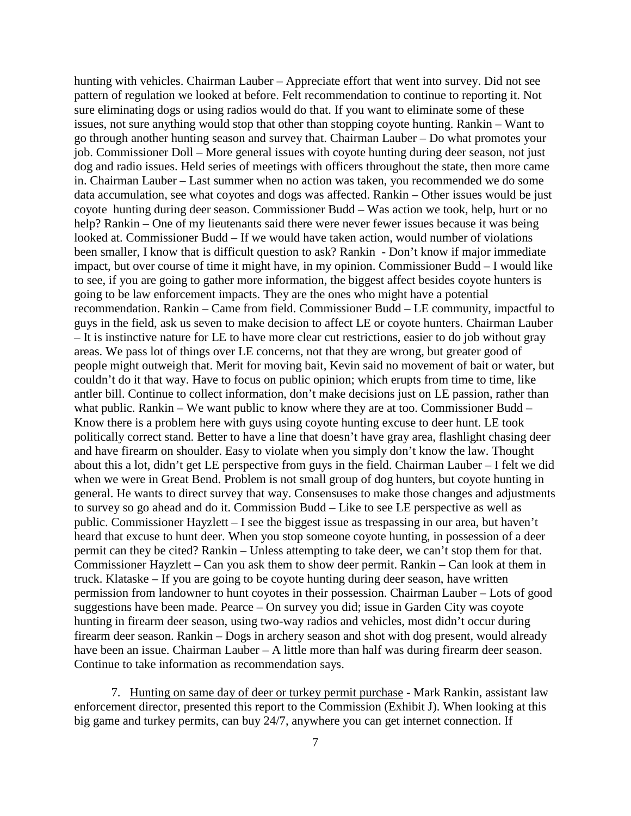hunting with vehicles. Chairman Lauber – Appreciate effort that went into survey. Did not see pattern of regulation we looked at before. Felt recommendation to continue to reporting it. Not sure eliminating dogs or using radios would do that. If you want to eliminate some of these issues, not sure anything would stop that other than stopping coyote hunting. Rankin – Want to go through another hunting season and survey that. Chairman Lauber – Do what promotes your job. Commissioner Doll – More general issues with coyote hunting during deer season, not just dog and radio issues. Held series of meetings with officers throughout the state, then more came in. Chairman Lauber – Last summer when no action was taken, you recommended we do some data accumulation, see what coyotes and dogs was affected. Rankin – Other issues would be just coyote hunting during deer season. Commissioner Budd – Was action we took, help, hurt or no help? Rankin – One of my lieutenants said there were never fewer issues because it was being looked at. Commissioner Budd – If we would have taken action, would number of violations been smaller, I know that is difficult question to ask? Rankin - Don't know if major immediate impact, but over course of time it might have, in my opinion. Commissioner Budd – I would like to see, if you are going to gather more information, the biggest affect besides coyote hunters is going to be law enforcement impacts. They are the ones who might have a potential recommendation. Rankin – Came from field. Commissioner Budd – LE community, impactful to guys in the field, ask us seven to make decision to affect LE or coyote hunters. Chairman Lauber – It is instinctive nature for LE to have more clear cut restrictions, easier to do job without gray areas. We pass lot of things over LE concerns, not that they are wrong, but greater good of people might outweigh that. Merit for moving bait, Kevin said no movement of bait or water, but couldn't do it that way. Have to focus on public opinion; which erupts from time to time, like antler bill. Continue to collect information, don't make decisions just on LE passion, rather than what public. Rankin – We want public to know where they are at too. Commissioner Budd – Know there is a problem here with guys using coyote hunting excuse to deer hunt. LE took politically correct stand. Better to have a line that doesn't have gray area, flashlight chasing deer and have firearm on shoulder. Easy to violate when you simply don't know the law. Thought about this a lot, didn't get LE perspective from guys in the field. Chairman Lauber – I felt we did when we were in Great Bend. Problem is not small group of dog hunters, but coyote hunting in general. He wants to direct survey that way. Consensuses to make those changes and adjustments to survey so go ahead and do it. Commission Budd – Like to see LE perspective as well as public. Commissioner Hayzlett – I see the biggest issue as trespassing in our area, but haven't heard that excuse to hunt deer. When you stop someone coyote hunting, in possession of a deer permit can they be cited? Rankin – Unless attempting to take deer, we can't stop them for that. Commissioner Hayzlett – Can you ask them to show deer permit. Rankin – Can look at them in truck. Klataske – If you are going to be coyote hunting during deer season, have written permission from landowner to hunt coyotes in their possession. Chairman Lauber – Lots of good suggestions have been made. Pearce – On survey you did; issue in Garden City was coyote hunting in firearm deer season, using two-way radios and vehicles, most didn't occur during firearm deer season. Rankin – Dogs in archery season and shot with dog present, would already have been an issue. Chairman Lauber – A little more than half was during firearm deer season. Continue to take information as recommendation says.

7. Hunting on same day of deer or turkey permit purchase - Mark Rankin, assistant law enforcement director, presented this report to the Commission (Exhibit J). When looking at this big game and turkey permits, can buy 24/7, anywhere you can get internet connection. If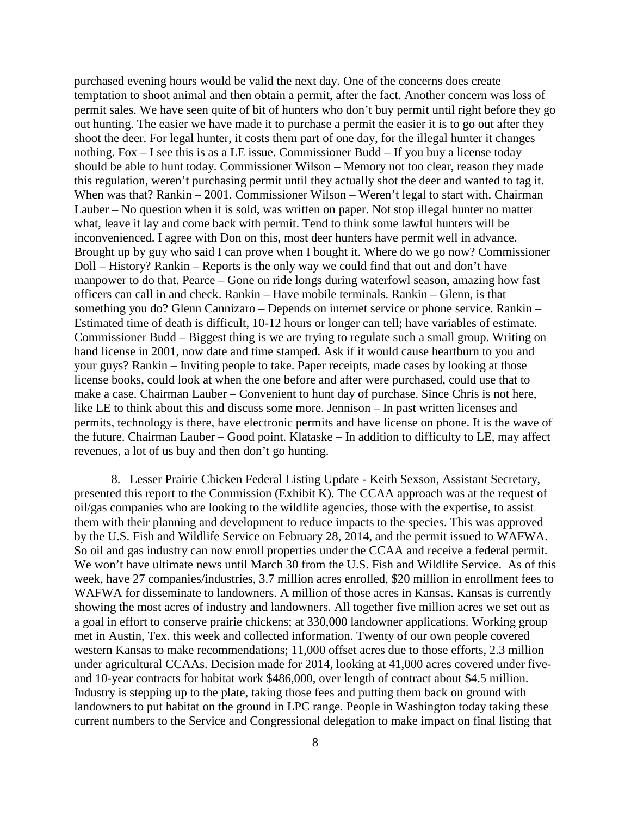purchased evening hours would be valid the next day. One of the concerns does create temptation to shoot animal and then obtain a permit, after the fact. Another concern was loss of permit sales. We have seen quite of bit of hunters who don't buy permit until right before they go out hunting. The easier we have made it to purchase a permit the easier it is to go out after they shoot the deer. For legal hunter, it costs them part of one day, for the illegal hunter it changes nothing. Fox – I see this is as a LE issue. Commissioner Budd – If you buy a license today should be able to hunt today. Commissioner Wilson – Memory not too clear, reason they made this regulation, weren't purchasing permit until they actually shot the deer and wanted to tag it. When was that? Rankin – 2001. Commissioner Wilson – Weren't legal to start with. Chairman Lauber – No question when it is sold, was written on paper. Not stop illegal hunter no matter what, leave it lay and come back with permit. Tend to think some lawful hunters will be inconvenienced. I agree with Don on this, most deer hunters have permit well in advance. Brought up by guy who said I can prove when I bought it. Where do we go now? Commissioner Doll – History? Rankin – Reports is the only way we could find that out and don't have manpower to do that. Pearce – Gone on ride longs during waterfowl season, amazing how fast officers can call in and check. Rankin – Have mobile terminals. Rankin – Glenn, is that something you do? Glenn Cannizaro – Depends on internet service or phone service. Rankin – Estimated time of death is difficult, 10-12 hours or longer can tell; have variables of estimate. Commissioner Budd – Biggest thing is we are trying to regulate such a small group. Writing on hand license in 2001, now date and time stamped. Ask if it would cause heartburn to you and your guys? Rankin – Inviting people to take. Paper receipts, made cases by looking at those license books, could look at when the one before and after were purchased, could use that to make a case. Chairman Lauber – Convenient to hunt day of purchase. Since Chris is not here, like LE to think about this and discuss some more. Jennison – In past written licenses and permits, technology is there, have electronic permits and have license on phone. It is the wave of the future. Chairman Lauber – Good point. Klataske – In addition to difficulty to LE, may affect revenues, a lot of us buy and then don't go hunting.

8. Lesser Prairie Chicken Federal Listing Update - Keith Sexson, Assistant Secretary, presented this report to the Commission (Exhibit K). The CCAA approach was at the request of oil/gas companies who are looking to the wildlife agencies, those with the expertise, to assist them with their planning and development to reduce impacts to the species. This was approved by the U.S. Fish and Wildlife Service on February 28, 2014, and the permit issued to WAFWA. So oil and gas industry can now enroll properties under the CCAA and receive a federal permit. We won't have ultimate news until March 30 from the U.S. Fish and Wildlife Service. As of this week, have 27 companies/industries, 3.7 million acres enrolled, \$20 million in enrollment fees to WAFWA for disseminate to landowners. A million of those acres in Kansas. Kansas is currently showing the most acres of industry and landowners. All together five million acres we set out as a goal in effort to conserve prairie chickens; at 330,000 landowner applications. Working group met in Austin, Tex. this week and collected information. Twenty of our own people covered western Kansas to make recommendations; 11,000 offset acres due to those efforts, 2.3 million under agricultural CCAAs. Decision made for 2014, looking at 41,000 acres covered under fiveand 10-year contracts for habitat work \$486,000, over length of contract about \$4.5 million. Industry is stepping up to the plate, taking those fees and putting them back on ground with landowners to put habitat on the ground in LPC range. People in Washington today taking these current numbers to the Service and Congressional delegation to make impact on final listing that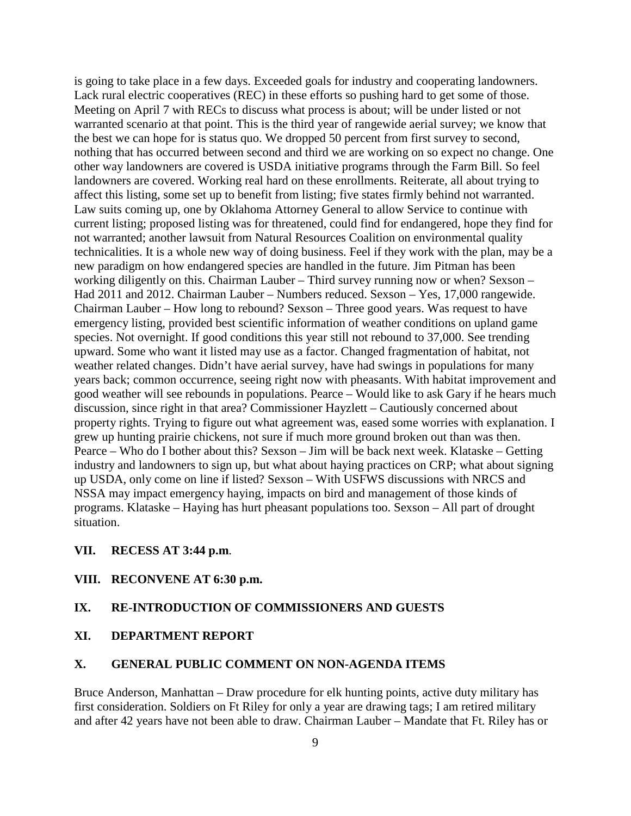is going to take place in a few days. Exceeded goals for industry and cooperating landowners. Lack rural electric cooperatives (REC) in these efforts so pushing hard to get some of those. Meeting on April 7 with RECs to discuss what process is about; will be under listed or not warranted scenario at that point. This is the third year of rangewide aerial survey; we know that the best we can hope for is status quo. We dropped 50 percent from first survey to second, nothing that has occurred between second and third we are working on so expect no change. One other way landowners are covered is USDA initiative programs through the Farm Bill. So feel landowners are covered. Working real hard on these enrollments. Reiterate, all about trying to affect this listing, some set up to benefit from listing; five states firmly behind not warranted. Law suits coming up, one by Oklahoma Attorney General to allow Service to continue with current listing; proposed listing was for threatened, could find for endangered, hope they find for not warranted; another lawsuit from Natural Resources Coalition on environmental quality technicalities. It is a whole new way of doing business. Feel if they work with the plan, may be a new paradigm on how endangered species are handled in the future. Jim Pitman has been working diligently on this. Chairman Lauber – Third survey running now or when? Sexson – Had 2011 and 2012. Chairman Lauber – Numbers reduced. Sexson – Yes, 17,000 rangewide. Chairman Lauber – How long to rebound? Sexson – Three good years. Was request to have emergency listing, provided best scientific information of weather conditions on upland game species. Not overnight. If good conditions this year still not rebound to 37,000. See trending upward. Some who want it listed may use as a factor. Changed fragmentation of habitat, not weather related changes. Didn't have aerial survey, have had swings in populations for many years back; common occurrence, seeing right now with pheasants. With habitat improvement and good weather will see rebounds in populations. Pearce – Would like to ask Gary if he hears much discussion, since right in that area? Commissioner Hayzlett – Cautiously concerned about property rights. Trying to figure out what agreement was, eased some worries with explanation. I grew up hunting prairie chickens, not sure if much more ground broken out than was then. Pearce – Who do I bother about this? Sexson – Jim will be back next week. Klataske – Getting industry and landowners to sign up, but what about haying practices on CRP; what about signing up USDA, only come on line if listed? Sexson – With USFWS discussions with NRCS and NSSA may impact emergency haying, impacts on bird and management of those kinds of programs. Klataske – Haying has hurt pheasant populations too. Sexson – All part of drought situation.

### **VII. RECESS AT 3:44 p.m**.

#### **VIII. RECONVENE AT 6:30 p.m.**

### **IX. RE-INTRODUCTION OF COMMISSIONERS AND GUESTS**

**XI. DEPARTMENT REPORT**

### **X. GENERAL PUBLIC COMMENT ON NON-AGENDA ITEMS**

Bruce Anderson, Manhattan – Draw procedure for elk hunting points, active duty military has first consideration. Soldiers on Ft Riley for only a year are drawing tags; I am retired military and after 42 years have not been able to draw. Chairman Lauber – Mandate that Ft. Riley has or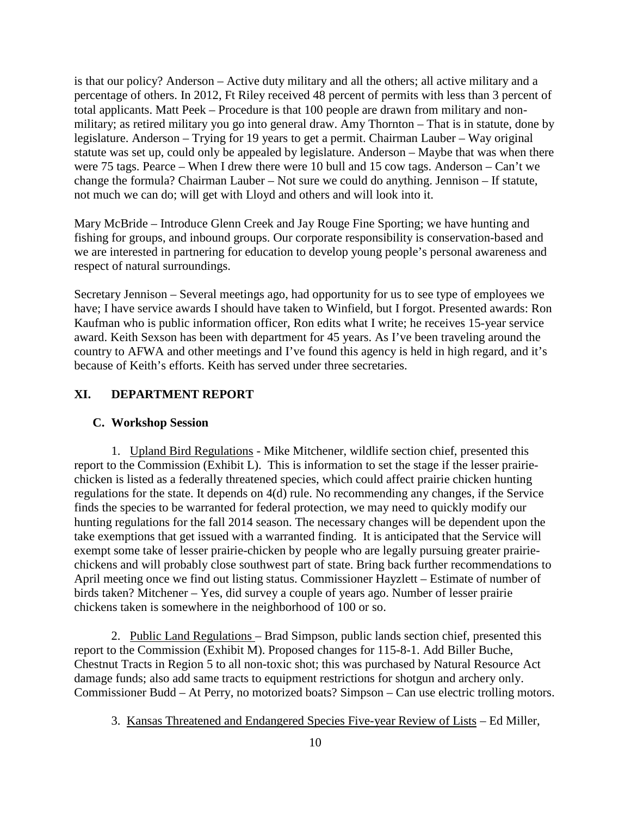is that our policy? Anderson – Active duty military and all the others; all active military and a percentage of others. In 2012, Ft Riley received 48 percent of permits with less than 3 percent of total applicants. Matt Peek – Procedure is that 100 people are drawn from military and nonmilitary; as retired military you go into general draw. Amy Thornton – That is in statute, done by legislature. Anderson – Trying for 19 years to get a permit. Chairman Lauber – Way original statute was set up, could only be appealed by legislature. Anderson – Maybe that was when there were 75 tags. Pearce – When I drew there were 10 bull and 15 cow tags. Anderson – Can't we change the formula? Chairman Lauber – Not sure we could do anything. Jennison – If statute, not much we can do; will get with Lloyd and others and will look into it.

Mary McBride – Introduce Glenn Creek and Jay Rouge Fine Sporting; we have hunting and fishing for groups, and inbound groups. Our corporate responsibility is conservation-based and we are interested in partnering for education to develop young people's personal awareness and respect of natural surroundings.

Secretary Jennison – Several meetings ago, had opportunity for us to see type of employees we have; I have service awards I should have taken to Winfield, but I forgot. Presented awards: Ron Kaufman who is public information officer, Ron edits what I write; he receives 15-year service award. Keith Sexson has been with department for 45 years. As I've been traveling around the country to AFWA and other meetings and I've found this agency is held in high regard, and it's because of Keith's efforts. Keith has served under three secretaries.

### **XI. DEPARTMENT REPORT**

#### **C. Workshop Session**

1. Upland Bird Regulations - Mike Mitchener, wildlife section chief, presented this report to the Commission (Exhibit L). This is information to set the stage if the lesser prairiechicken is listed as a federally threatened species, which could affect prairie chicken hunting regulations for the state. It depends on 4(d) rule. No recommending any changes, if the Service finds the species to be warranted for federal protection, we may need to quickly modify our hunting regulations for the fall 2014 season. The necessary changes will be dependent upon the take exemptions that get issued with a warranted finding. It is anticipated that the Service will exempt some take of lesser prairie-chicken by people who are legally pursuing greater prairiechickens and will probably close southwest part of state. Bring back further recommendations to April meeting once we find out listing status. Commissioner Hayzlett – Estimate of number of birds taken? Mitchener – Yes, did survey a couple of years ago. Number of lesser prairie chickens taken is somewhere in the neighborhood of 100 or so.

2. Public Land Regulations – Brad Simpson, public lands section chief, presented this report to the Commission (Exhibit M). Proposed changes for 115-8-1. Add Biller Buche, Chestnut Tracts in Region 5 to all non-toxic shot; this was purchased by Natural Resource Act damage funds; also add same tracts to equipment restrictions for shotgun and archery only. Commissioner Budd – At Perry, no motorized boats? Simpson – Can use electric trolling motors.

3. Kansas Threatened and Endangered Species Five-year Review of Lists – Ed Miller,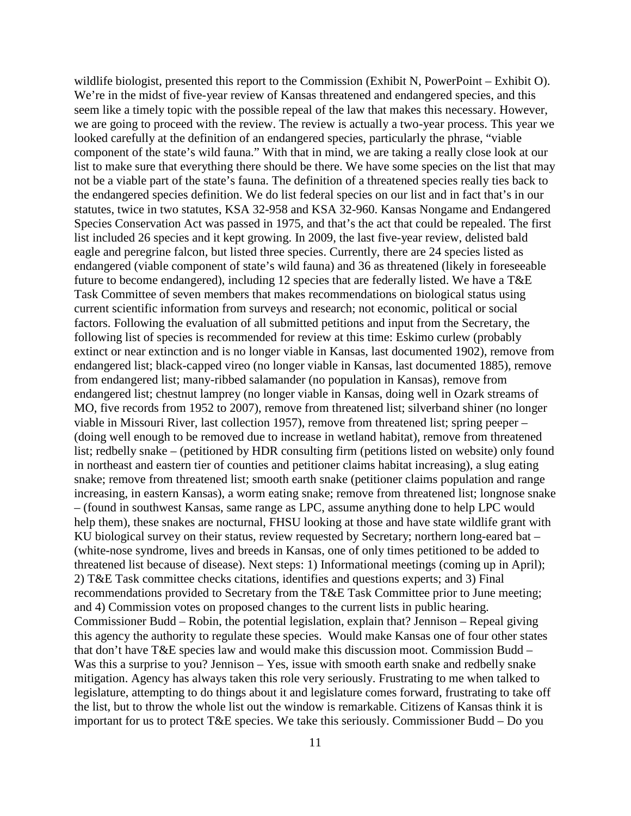wildlife biologist, presented this report to the Commission (Exhibit N, PowerPoint – Exhibit O). We're in the midst of five-year review of Kansas threatened and endangered species, and this seem like a timely topic with the possible repeal of the law that makes this necessary. However, we are going to proceed with the review. The review is actually a two-year process. This year we looked carefully at the definition of an endangered species, particularly the phrase, "viable component of the state's wild fauna." With that in mind, we are taking a really close look at our list to make sure that everything there should be there. We have some species on the list that may not be a viable part of the state's fauna. The definition of a threatened species really ties back to the endangered species definition. We do list federal species on our list and in fact that's in our statutes, twice in two statutes, KSA 32-958 and KSA 32-960. Kansas Nongame and Endangered Species Conservation Act was passed in 1975, and that's the act that could be repealed. The first list included 26 species and it kept growing. In 2009, the last five-year review, delisted bald eagle and peregrine falcon, but listed three species. Currently, there are 24 species listed as endangered (viable component of state's wild fauna) and 36 as threatened (likely in foreseeable future to become endangered), including 12 species that are federally listed. We have a T&E Task Committee of seven members that makes recommendations on biological status using current scientific information from surveys and research; not economic, political or social factors. Following the evaluation of all submitted petitions and input from the Secretary, the following list of species is recommended for review at this time: Eskimo curlew (probably extinct or near extinction and is no longer viable in Kansas, last documented 1902), remove from endangered list; black-capped vireo (no longer viable in Kansas, last documented 1885), remove from endangered list; many-ribbed salamander (no population in Kansas), remove from endangered list; chestnut lamprey (no longer viable in Kansas, doing well in Ozark streams of MO, five records from 1952 to 2007), remove from threatened list; silverband shiner (no longer viable in Missouri River, last collection 1957), remove from threatened list; spring peeper – (doing well enough to be removed due to increase in wetland habitat), remove from threatened list; redbelly snake – (petitioned by HDR consulting firm (petitions listed on website) only found in northeast and eastern tier of counties and petitioner claims habitat increasing), a slug eating snake; remove from threatened list; smooth earth snake (petitioner claims population and range increasing, in eastern Kansas), a worm eating snake; remove from threatened list; longnose snake – (found in southwest Kansas, same range as LPC, assume anything done to help LPC would help them), these snakes are nocturnal, FHSU looking at those and have state wildlife grant with KU biological survey on their status, review requested by Secretary; northern long-eared bat – (white-nose syndrome, lives and breeds in Kansas, one of only times petitioned to be added to threatened list because of disease). Next steps: 1) Informational meetings (coming up in April); 2) T&E Task committee checks citations, identifies and questions experts; and 3) Final recommendations provided to Secretary from the T&E Task Committee prior to June meeting; and 4) Commission votes on proposed changes to the current lists in public hearing. Commissioner Budd – Robin, the potential legislation, explain that? Jennison – Repeal giving this agency the authority to regulate these species. Would make Kansas one of four other states that don't have T&E species law and would make this discussion moot. Commission Budd – Was this a surprise to you? Jennison – Yes, issue with smooth earth snake and redbelly snake mitigation. Agency has always taken this role very seriously. Frustrating to me when talked to legislature, attempting to do things about it and legislature comes forward, frustrating to take off the list, but to throw the whole list out the window is remarkable. Citizens of Kansas think it is important for us to protect T&E species. We take this seriously. Commissioner Budd – Do you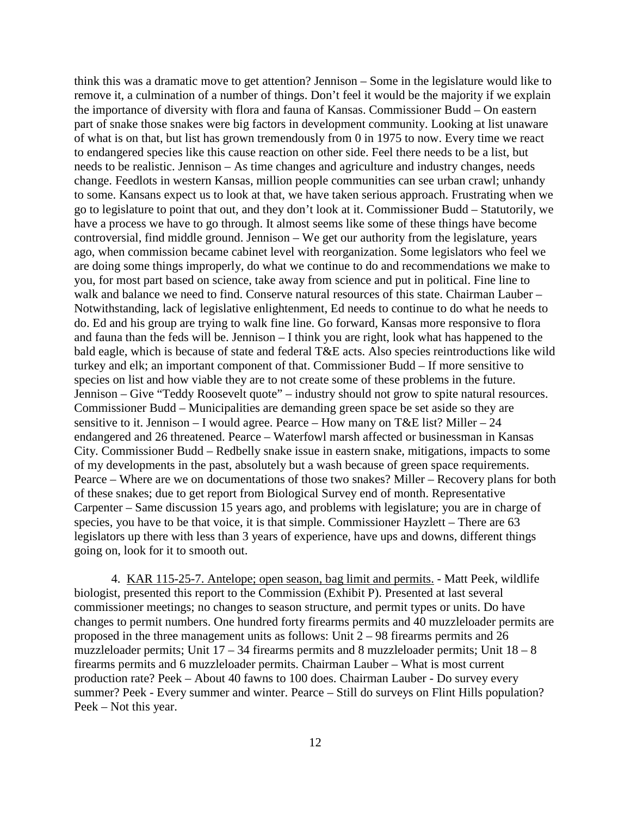think this was a dramatic move to get attention? Jennison – Some in the legislature would like to remove it, a culmination of a number of things. Don't feel it would be the majority if we explain the importance of diversity with flora and fauna of Kansas. Commissioner Budd – On eastern part of snake those snakes were big factors in development community. Looking at list unaware of what is on that, but list has grown tremendously from 0 in 1975 to now. Every time we react to endangered species like this cause reaction on other side. Feel there needs to be a list, but needs to be realistic. Jennison – As time changes and agriculture and industry changes, needs change. Feedlots in western Kansas, million people communities can see urban crawl; unhandy to some. Kansans expect us to look at that, we have taken serious approach. Frustrating when we go to legislature to point that out, and they don't look at it. Commissioner Budd – Statutorily, we have a process we have to go through. It almost seems like some of these things have become controversial, find middle ground. Jennison – We get our authority from the legislature, years ago, when commission became cabinet level with reorganization. Some legislators who feel we are doing some things improperly, do what we continue to do and recommendations we make to you, for most part based on science, take away from science and put in political. Fine line to walk and balance we need to find. Conserve natural resources of this state. Chairman Lauber – Notwithstanding, lack of legislative enlightenment, Ed needs to continue to do what he needs to do. Ed and his group are trying to walk fine line. Go forward, Kansas more responsive to flora and fauna than the feds will be. Jennison – I think you are right, look what has happened to the bald eagle, which is because of state and federal T&E acts. Also species reintroductions like wild turkey and elk; an important component of that. Commissioner Budd – If more sensitive to species on list and how viable they are to not create some of these problems in the future. Jennison – Give "Teddy Roosevelt quote" – industry should not grow to spite natural resources. Commissioner Budd – Municipalities are demanding green space be set aside so they are sensitive to it. Jennison – I would agree. Pearce – How many on T&E list? Miller – 24 endangered and 26 threatened. Pearce – Waterfowl marsh affected or businessman in Kansas City. Commissioner Budd – Redbelly snake issue in eastern snake, mitigations, impacts to some of my developments in the past, absolutely but a wash because of green space requirements. Pearce – Where are we on documentations of those two snakes? Miller – Recovery plans for both of these snakes; due to get report from Biological Survey end of month. Representative Carpenter – Same discussion 15 years ago, and problems with legislature; you are in charge of species, you have to be that voice, it is that simple. Commissioner Hayzlett – There are 63 legislators up there with less than 3 years of experience, have ups and downs, different things going on, look for it to smooth out.

4. KAR 115-25-7. Antelope; open season, bag limit and permits. - Matt Peek, wildlife biologist, presented this report to the Commission (Exhibit P). Presented at last several commissioner meetings; no changes to season structure, and permit types or units. Do have changes to permit numbers. One hundred forty firearms permits and 40 muzzleloader permits are proposed in the three management units as follows: Unit 2 – 98 firearms permits and 26 muzzleloader permits; Unit  $17 - 34$  firearms permits and 8 muzzleloader permits; Unit  $18 - 8$ firearms permits and 6 muzzleloader permits. Chairman Lauber – What is most current production rate? Peek – About 40 fawns to 100 does. Chairman Lauber - Do survey every summer? Peek - Every summer and winter. Pearce – Still do surveys on Flint Hills population? Peek – Not this year.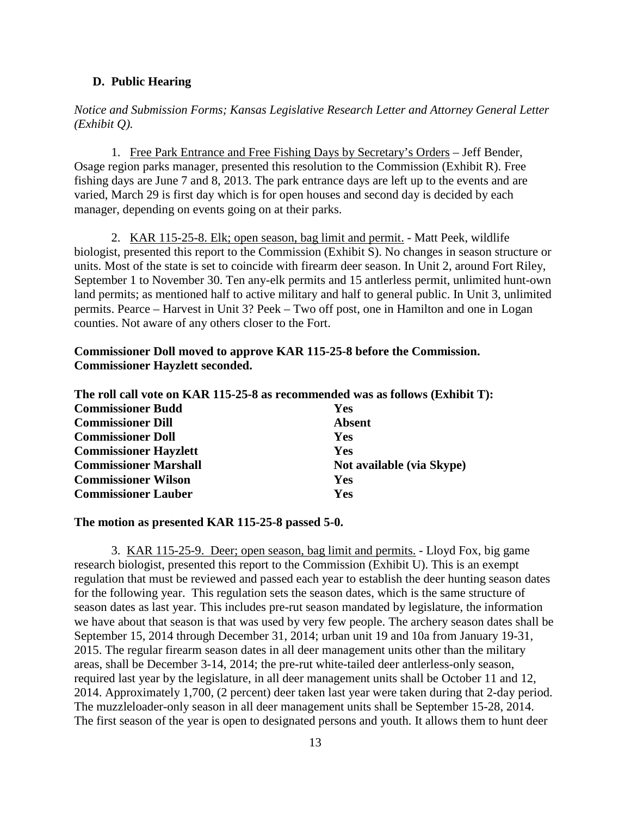### **D. Public Hearing**

*Notice and Submission Forms; Kansas Legislative Research Letter and Attorney General Letter (Exhibit Q).*

1. Free Park Entrance and Free Fishing Days by Secretary's Orders – Jeff Bender, Osage region parks manager, presented this resolution to the Commission (Exhibit R). Free fishing days are June 7 and 8, 2013. The park entrance days are left up to the events and are varied, March 29 is first day which is for open houses and second day is decided by each manager, depending on events going on at their parks.

2. KAR 115-25-8. Elk; open season, bag limit and permit. - Matt Peek, wildlife biologist, presented this report to the Commission (Exhibit S). No changes in season structure or units. Most of the state is set to coincide with firearm deer season. In Unit 2, around Fort Riley, September 1 to November 30. Ten any-elk permits and 15 antlerless permit, unlimited hunt-own land permits; as mentioned half to active military and half to general public. In Unit 3, unlimited permits. Pearce – Harvest in Unit 3? Peek – Two off post, one in Hamilton and one in Logan counties. Not aware of any others closer to the Fort.

### **Commissioner Doll moved to approve KAR 115-25-8 before the Commission. Commissioner Hayzlett seconded.**

|                              | The roll call vote on KAR 115-25-8 as recommended was as follows (Exhibit T): |
|------------------------------|-------------------------------------------------------------------------------|
| <b>Commissioner Budd</b>     | <b>Yes</b>                                                                    |
| <b>Commissioner Dill</b>     | <b>Absent</b>                                                                 |
| <b>Commissioner Doll</b>     | <b>Yes</b>                                                                    |
| <b>Commissioner Hayzlett</b> | <b>Yes</b>                                                                    |
| <b>Commissioner Marshall</b> | Not available (via Skype)                                                     |
| <b>Commissioner Wilson</b>   | <b>Yes</b>                                                                    |
| <b>Commissioner Lauber</b>   | Yes                                                                           |

#### **The motion as presented KAR 115-25-8 passed 5-0.**

3. KAR 115-25-9. Deer; open season, bag limit and permits. - Lloyd Fox, big game research biologist, presented this report to the Commission (Exhibit U). This is an exempt regulation that must be reviewed and passed each year to establish the deer hunting season dates for the following year. This regulation sets the season dates, which is the same structure of season dates as last year. This includes pre-rut season mandated by legislature, the information we have about that season is that was used by very few people. The archery season dates shall be September 15, 2014 through December 31, 2014; urban unit 19 and 10a from January 19-31, 2015. The regular firearm season dates in all deer management units other than the military areas, shall be December 3-14, 2014; the pre-rut white-tailed deer antlerless-only season, required last year by the legislature, in all deer management units shall be October 11 and 12, 2014. Approximately 1,700, (2 percent) deer taken last year were taken during that 2-day period. The muzzleloader-only season in all deer management units shall be September 15-28, 2014. The first season of the year is open to designated persons and youth. It allows them to hunt deer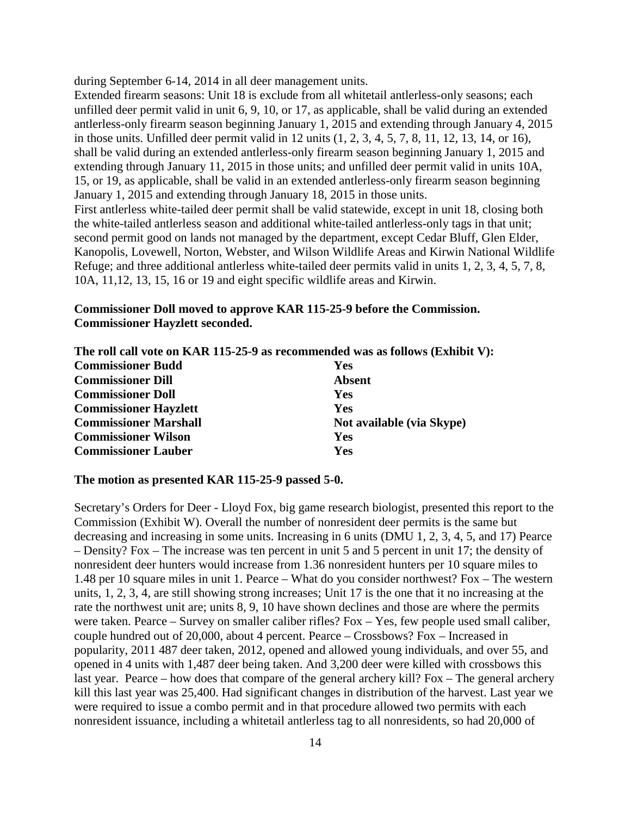during September 6-14, 2014 in all deer management units.

Extended firearm seasons: Unit 18 is exclude from all whitetail antlerless-only seasons; each unfilled deer permit valid in unit 6, 9, 10, or 17, as applicable, shall be valid during an extended antlerless-only firearm season beginning January 1, 2015 and extending through January 4, 2015 in those units. Unfilled deer permit valid in 12 units (1, 2, 3, 4, 5, 7, 8, 11, 12, 13, 14, or 16), shall be valid during an extended antlerless-only firearm season beginning January 1, 2015 and extending through January 11, 2015 in those units; and unfilled deer permit valid in units 10A, 15, or 19, as applicable, shall be valid in an extended antlerless-only firearm season beginning January 1, 2015 and extending through January 18, 2015 in those units. First antlerless white-tailed deer permit shall be valid statewide, except in unit 18, closing both the white-tailed antlerless season and additional white-tailed antlerless-only tags in that unit; second permit good on lands not managed by the department, except Cedar Bluff, Glen Elder, Kanopolis, Lovewell, Norton, Webster, and Wilson Wildlife Areas and Kirwin National Wildlife Refuge; and three additional antlerless white-tailed deer permits valid in units 1, 2, 3, 4, 5, 7, 8, 10A, 11,12, 13, 15, 16 or 19 and eight specific wildlife areas and Kirwin.

### **Commissioner Doll moved to approve KAR 115-25-9 before the Commission. Commissioner Hayzlett seconded.**

|                              | The roll call vote on KAR 115-25-9 as recommended was as follows (Exhibit V): |
|------------------------------|-------------------------------------------------------------------------------|
| <b>Commissioner Budd</b>     | <b>Yes</b>                                                                    |
| <b>Commissioner Dill</b>     | <b>Absent</b>                                                                 |
| <b>Commissioner Doll</b>     | Yes                                                                           |
| <b>Commissioner Hayzlett</b> | <b>Yes</b>                                                                    |
| <b>Commissioner Marshall</b> | Not available (via Skype)                                                     |
| <b>Commissioner Wilson</b>   | Yes                                                                           |
| <b>Commissioner Lauber</b>   | Yes                                                                           |

#### **The motion as presented KAR 115-25-9 passed 5-0.**

Secretary's Orders for Deer - Lloyd Fox, big game research biologist, presented this report to the Commission (Exhibit W). Overall the number of nonresident deer permits is the same but decreasing and increasing in some units. Increasing in 6 units (DMU 1, 2, 3, 4, 5, and 17) Pearce – Density? Fox – The increase was ten percent in unit 5 and 5 percent in unit 17; the density of nonresident deer hunters would increase from 1.36 nonresident hunters per 10 square miles to 1.48 per 10 square miles in unit 1. Pearce – What do you consider northwest? Fox – The western units, 1, 2, 3, 4, are still showing strong increases; Unit 17 is the one that it no increasing at the rate the northwest unit are; units 8, 9, 10 have shown declines and those are where the permits were taken. Pearce – Survey on smaller caliber rifles? Fox – Yes, few people used small caliber, couple hundred out of 20,000, about 4 percent. Pearce – Crossbows? Fox – Increased in popularity, 2011 487 deer taken, 2012, opened and allowed young individuals, and over 55, and opened in 4 units with 1,487 deer being taken. And 3,200 deer were killed with crossbows this last year. Pearce – how does that compare of the general archery kill? Fox – The general archery kill this last year was 25,400. Had significant changes in distribution of the harvest. Last year we were required to issue a combo permit and in that procedure allowed two permits with each nonresident issuance, including a whitetail antlerless tag to all nonresidents, so had 20,000 of